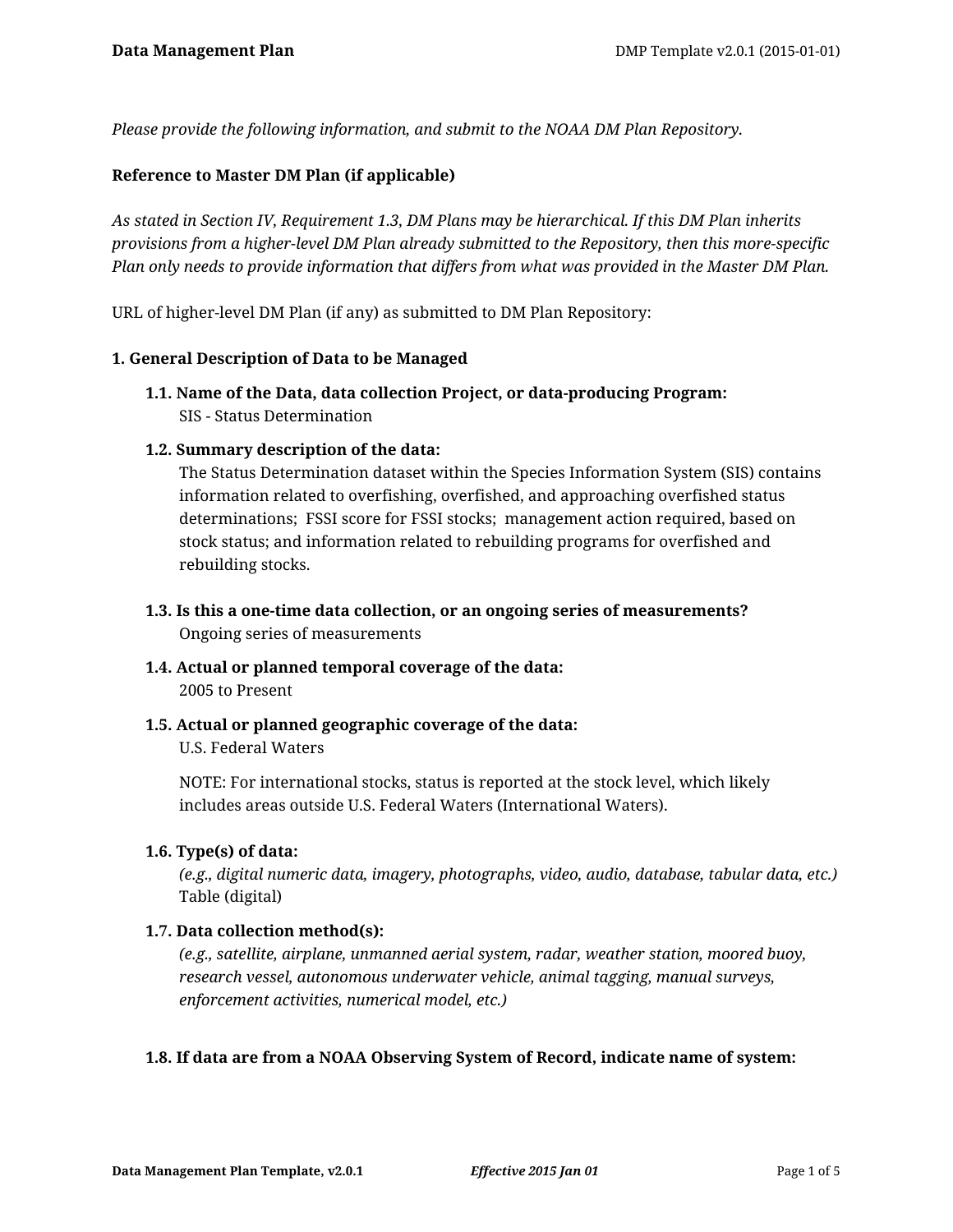*Please provide the following information, and submit to the NOAA DM Plan Repository.*

### **Reference to Master DM Plan (if applicable)**

*As stated in Section IV, Requirement 1.3, DM Plans may be hierarchical. If this DM Plan inherits provisions from a higher-level DM Plan already submitted to the Repository, then this more-specific Plan only needs to provide information that differs from what was provided in the Master DM Plan.*

URL of higher-level DM Plan (if any) as submitted to DM Plan Repository:

### **1. General Description of Data to be Managed**

**1.1. Name of the Data, data collection Project, or data-producing Program:** SIS - Status Determination

### **1.2. Summary description of the data:**

The Status Determination dataset within the Species Information System (SIS) contains information related to overfishing, overfished, and approaching overfished status determinations; FSSI score for FSSI stocks; management action required, based on stock status; and information related to rebuilding programs for overfished and rebuilding stocks.

- **1.3. Is this a one-time data collection, or an ongoing series of measurements?** Ongoing series of measurements
- **1.4. Actual or planned temporal coverage of the data:** 2005 to Present
- **1.5. Actual or planned geographic coverage of the data:**

U.S. Federal Waters

NOTE: For international stocks, status is reported at the stock level, which likely includes areas outside U.S. Federal Waters (International Waters).

### **1.6. Type(s) of data:**

*(e.g., digital numeric data, imagery, photographs, video, audio, database, tabular data, etc.)* Table (digital)

# **1.7. Data collection method(s):**

*(e.g., satellite, airplane, unmanned aerial system, radar, weather station, moored buoy, research vessel, autonomous underwater vehicle, animal tagging, manual surveys, enforcement activities, numerical model, etc.)*

# **1.8. If data are from a NOAA Observing System of Record, indicate name of system:**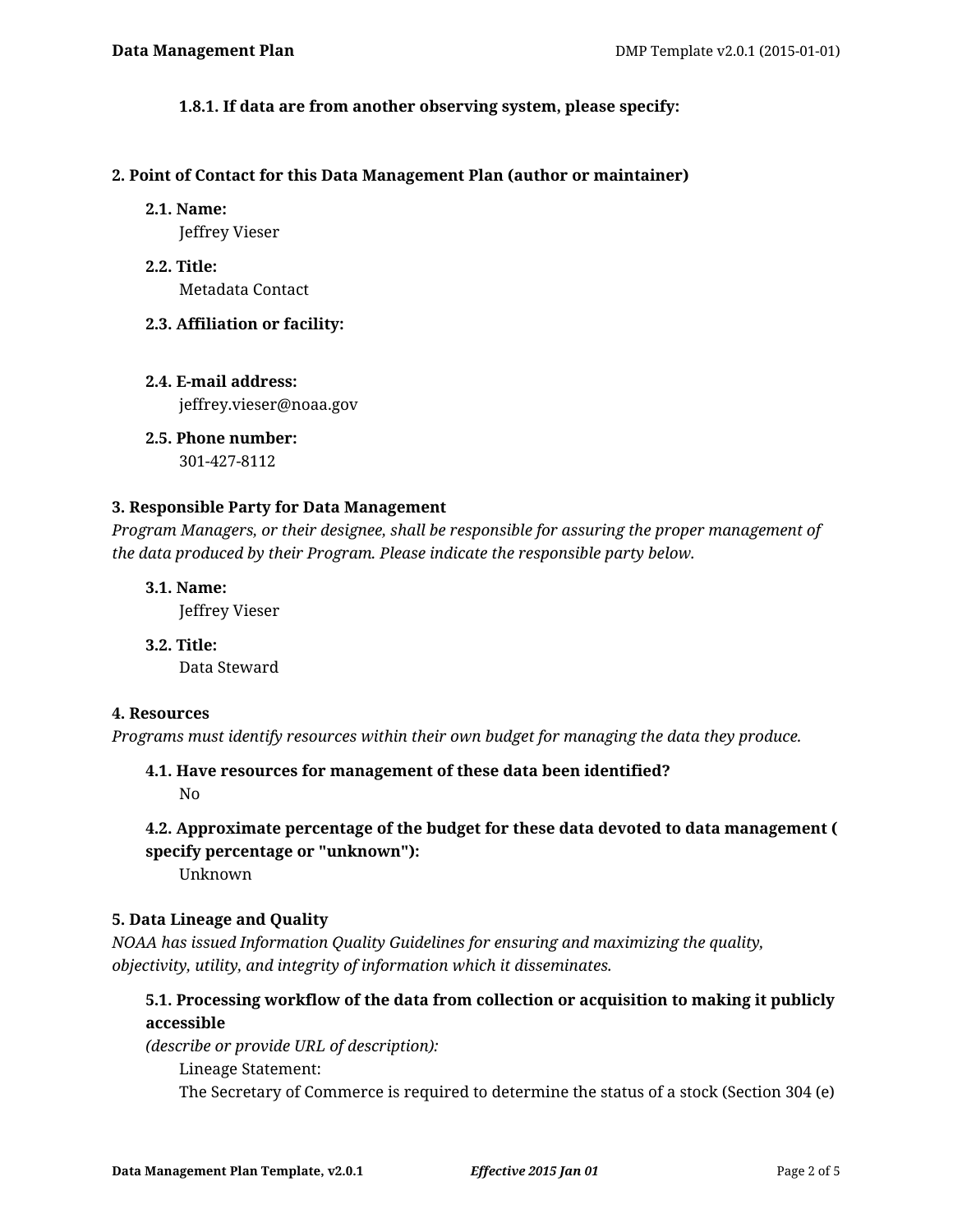### **1.8.1. If data are from another observing system, please specify:**

#### **2. Point of Contact for this Data Management Plan (author or maintainer)**

#### **2.1. Name:**

Jeffrey Vieser

**2.2. Title:** Metadata Contact

### **2.3. Affiliation or facility:**

**2.4. E-mail address:** jeffrey.vieser@noaa.gov

**2.5. Phone number:** 301-427-8112

# **3. Responsible Party for Data Management**

*Program Managers, or their designee, shall be responsible for assuring the proper management of the data produced by their Program. Please indicate the responsible party below.*

**3.1. Name:**

Jeffrey Vieser

**3.2. Title:** Data Steward

### **4. Resources**

*Programs must identify resources within their own budget for managing the data they produce.*

**4.1. Have resources for management of these data been identified?** No

# **4.2. Approximate percentage of the budget for these data devoted to data management ( specify percentage or "unknown"):**

Unknown

### **5. Data Lineage and Quality**

*NOAA has issued Information Quality Guidelines for ensuring and maximizing the quality, objectivity, utility, and integrity of information which it disseminates.*

# **5.1. Processing workflow of the data from collection or acquisition to making it publicly accessible**

*(describe or provide URL of description):*

Lineage Statement:

The Secretary of Commerce is required to determine the status of a stock (Section 304 (e)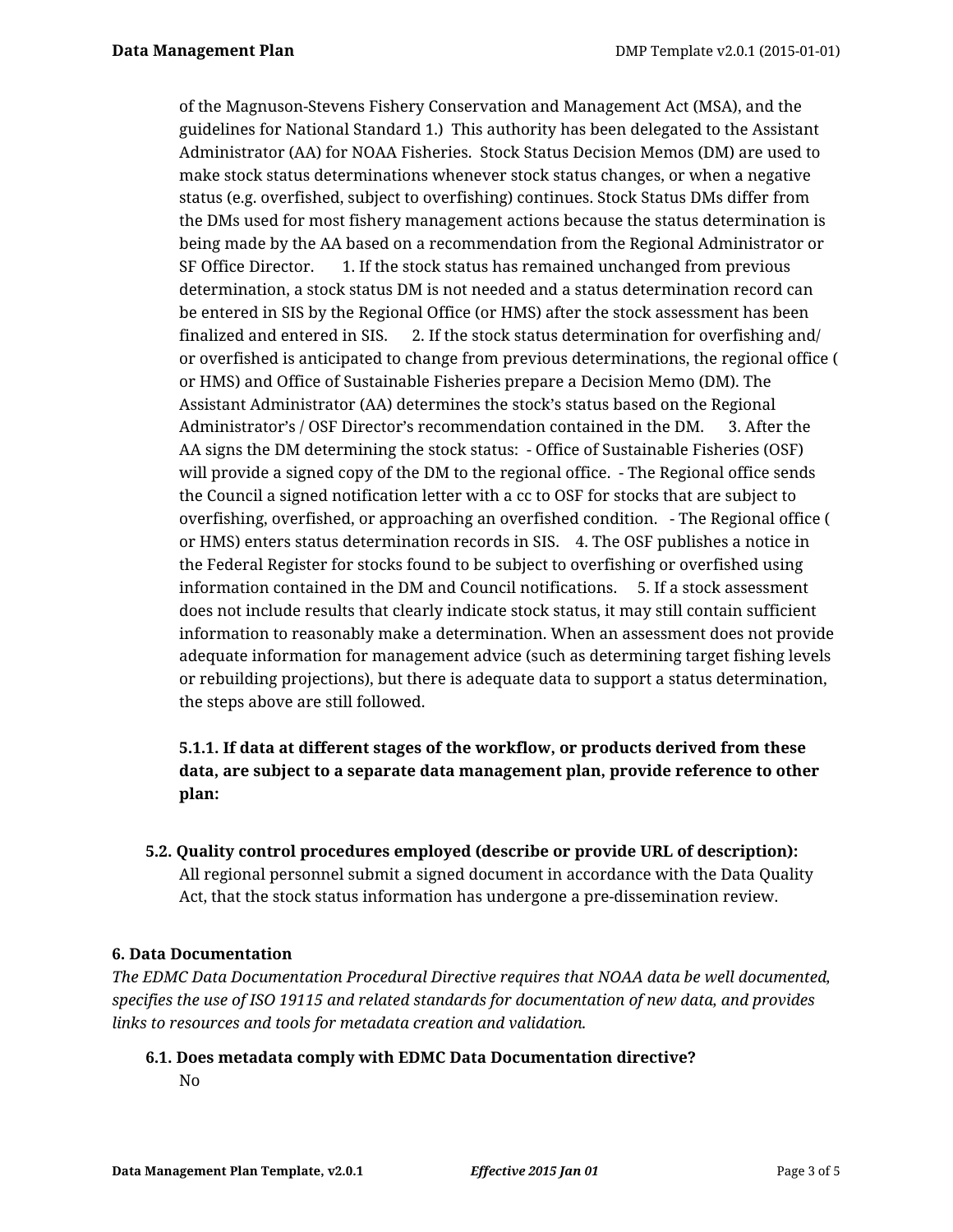of the Magnuson-Stevens Fishery Conservation and Management Act (MSA), and the guidelines for National Standard 1.) This authority has been delegated to the Assistant Administrator (AA) for NOAA Fisheries. Stock Status Decision Memos (DM) are used to make stock status determinations whenever stock status changes, or when a negative status (e.g. overfished, subject to overfishing) continues. Stock Status DMs differ from the DMs used for most fishery management actions because the status determination is being made by the AA based on a recommendation from the Regional Administrator or SF Office Director. 1. If the stock status has remained unchanged from previous determination, a stock status DM is not needed and a status determination record can be entered in SIS by the Regional Office (or HMS) after the stock assessment has been finalized and entered in SIS. 2. If the stock status determination for overfishing and/ or overfished is anticipated to change from previous determinations, the regional office ( or HMS) and Office of Sustainable Fisheries prepare a Decision Memo (DM). The Assistant Administrator (AA) determines the stock's status based on the Regional Administrator's / OSF Director's recommendation contained in the DM. 3. After the AA signs the DM determining the stock status: - Office of Sustainable Fisheries (OSF) will provide a signed copy of the DM to the regional office. - The Regional office sends the Council a signed notification letter with a cc to OSF for stocks that are subject to overfishing, overfished, or approaching an overfished condition. - The Regional office ( or HMS) enters status determination records in SIS. 4. The OSF publishes a notice in the Federal Register for stocks found to be subject to overfishing or overfished using information contained in the DM and Council notifications. 5. If a stock assessment does not include results that clearly indicate stock status, it may still contain sufficient information to reasonably make a determination. When an assessment does not provide adequate information for management advice (such as determining target fishing levels or rebuilding projections), but there is adequate data to support a status determination, the steps above are still followed.

# **5.1.1. If data at different stages of the workflow, or products derived from these data, are subject to a separate data management plan, provide reference to other plan:**

**5.2. Quality control procedures employed (describe or provide URL of description):** All regional personnel submit a signed document in accordance with the Data Quality Act, that the stock status information has undergone a pre-dissemination review.

# **6. Data Documentation**

*The EDMC Data Documentation Procedural Directive requires that NOAA data be well documented, specifies the use of ISO 19115 and related standards for documentation of new data, and provides links to resources and tools for metadata creation and validation.*

# **6.1. Does metadata comply with EDMC Data Documentation directive?** No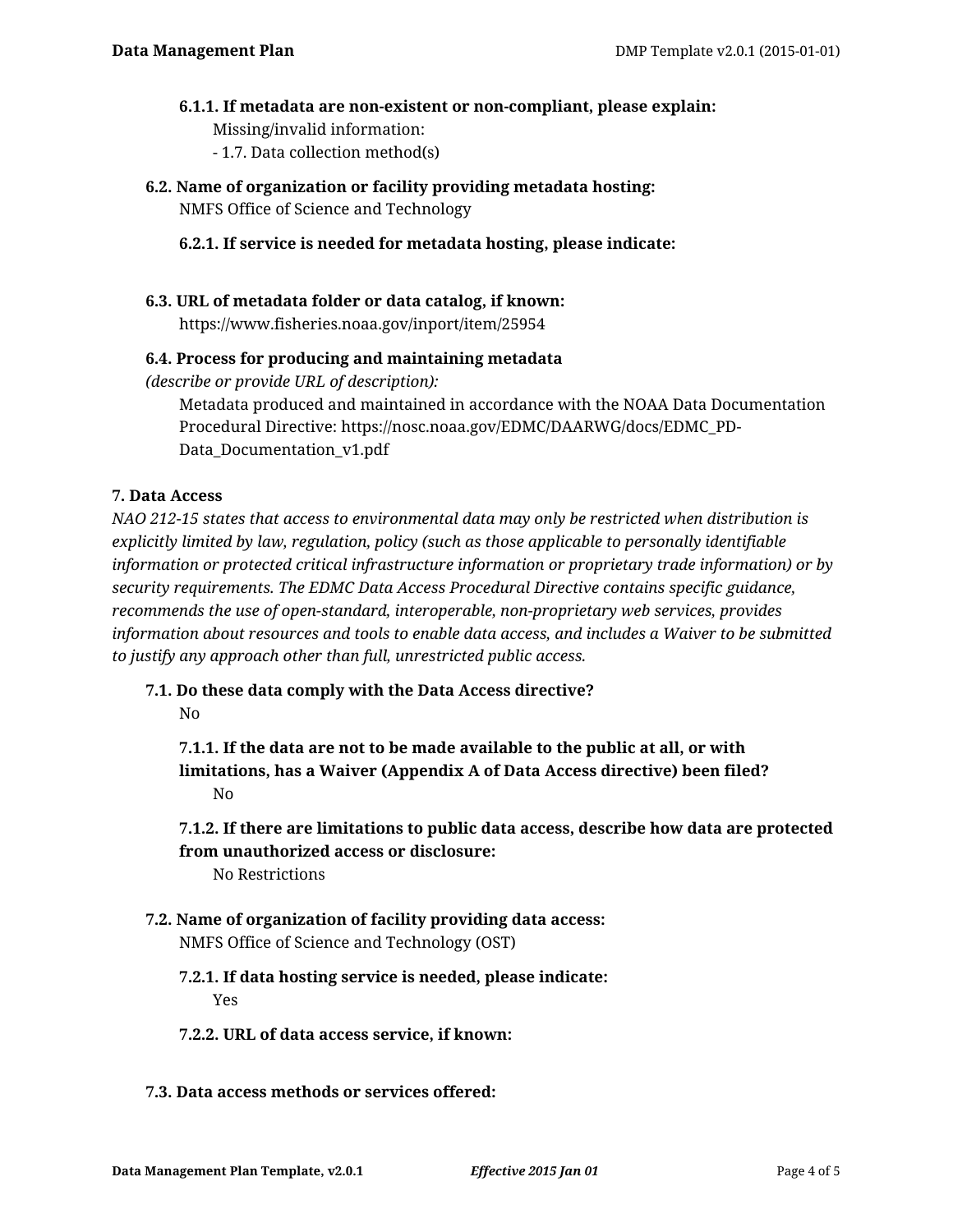# **6.1.1. If metadata are non-existent or non-compliant, please explain:**

- Missing/invalid information:
- 1.7. Data collection method(s)
- **6.2. Name of organization or facility providing metadata hosting:** NMFS Office of Science and Technology

# **6.2.1. If service is needed for metadata hosting, please indicate:**

# **6.3. URL of metadata folder or data catalog, if known:** https://www.fisheries.noaa.gov/inport/item/25954

# **6.4. Process for producing and maintaining metadata**

*(describe or provide URL of description):*

Metadata produced and maintained in accordance with the NOAA Data Documentation Procedural Directive: https://nosc.noaa.gov/EDMC/DAARWG/docs/EDMC\_PD-Data\_Documentation\_v1.pdf

### **7. Data Access**

*NAO 212-15 states that access to environmental data may only be restricted when distribution is explicitly limited by law, regulation, policy (such as those applicable to personally identifiable information or protected critical infrastructure information or proprietary trade information) or by security requirements. The EDMC Data Access Procedural Directive contains specific guidance, recommends the use of open-standard, interoperable, non-proprietary web services, provides information about resources and tools to enable data access, and includes a Waiver to be submitted to justify any approach other than full, unrestricted public access.*

# **7.1. Do these data comply with the Data Access directive?**

No

**7.1.1. If the data are not to be made available to the public at all, or with limitations, has a Waiver (Appendix A of Data Access directive) been filed?** No

**7.1.2. If there are limitations to public data access, describe how data are protected from unauthorized access or disclosure:**

No Restrictions

- **7.2. Name of organization of facility providing data access:** NMFS Office of Science and Technology (OST)
	- **7.2.1. If data hosting service is needed, please indicate:** Yes
	- **7.2.2. URL of data access service, if known:**
- **7.3. Data access methods or services offered:**